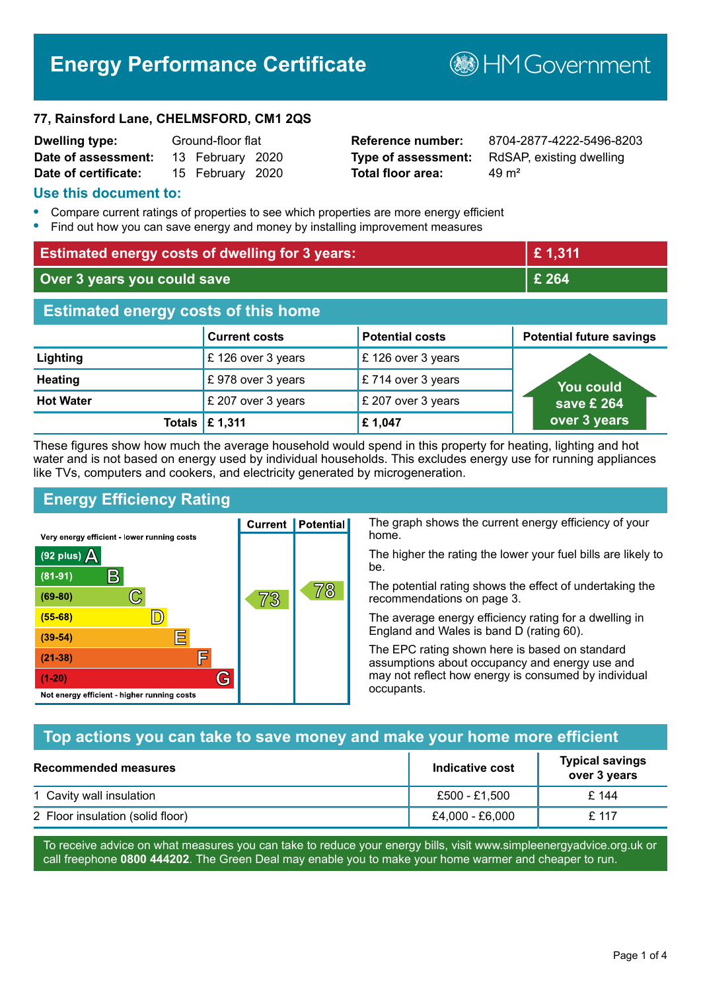# **Energy Performance Certificate**

**B**HMGovernment

#### **77, Rainsford Lane, CHELMSFORD, CM1 2QS**

| <b>Dwelling type:</b> | Ground-floor flat |                  |  |
|-----------------------|-------------------|------------------|--|
| Date of assessment:   |                   | 13 February 2020 |  |
| Date of certificate:  |                   | 15 February 2020 |  |

# **Total floor area:** 49 m<sup>2</sup>

**Reference number:** 8704-2877-4222-5496-8203 **Type of assessment:** RdSAP, existing dwelling

#### **Use this document to:**

- **•** Compare current ratings of properties to see which properties are more energy efficient
- **•** Find out how you can save energy and money by installing improvement measures

| <b>Estimated energy costs of dwelling for 3 years:</b> |                      |                        | £1,311                          |
|--------------------------------------------------------|----------------------|------------------------|---------------------------------|
| Over 3 years you could save                            |                      | £ 264                  |                                 |
| <b>Estimated energy costs of this home</b>             |                      |                        |                                 |
|                                                        | <b>Current costs</b> | <b>Potential costs</b> | <b>Potential future savings</b> |
| Lighting                                               | £126 over 3 years    | £126 over 3 years      |                                 |
| <b>Heating</b>                                         | £978 over 3 years    | £714 over 3 years      | <b>You could</b>                |
| <b>Hot Water</b>                                       | £ 207 over 3 years   | £ 207 over 3 years     | save £ 264                      |
| Totals                                                 | £ 1,311              | £1,047                 | over 3 years                    |

These figures show how much the average household would spend in this property for heating, lighting and hot water and is not based on energy used by individual households. This excludes energy use for running appliances like TVs, computers and cookers, and electricity generated by microgeneration.

**Current | Potential** 

73

# **Energy Efficiency Rating**

 $\mathbb{C}$ 

 $\mathbb{D}$ 

E

庐

G

Very energy efficient - lower running costs

R

Not energy efficient - higher running costs

(92 plus)  $\Delta$ 

 $(81 - 91)$ 

 $(69 - 80)$ 

 $(55-68)$  $(39-54)$ 

 $(21-38)$ 

 $(1-20)$ 

The graph shows the current energy efficiency of your home.

The higher the rating the lower your fuel bills are likely to be.

The potential rating shows the effect of undertaking the recommendations on page 3.

The average energy efficiency rating for a dwelling in England and Wales is band D (rating 60).

The EPC rating shown here is based on standard assumptions about occupancy and energy use and may not reflect how energy is consumed by individual occupants.

# **Top actions you can take to save money and make your home more efficient**

78

| <b>Recommended measures</b>      | Indicative cost | <b>Typical savings</b><br>over 3 years |
|----------------------------------|-----------------|----------------------------------------|
| 1 Cavity wall insulation         | £500 - £1.500   | £ 144                                  |
| 2 Floor insulation (solid floor) | £4,000 - £6,000 | £ 117                                  |

To receive advice on what measures you can take to reduce your energy bills, visit www.simpleenergyadvice.org.uk or call freephone **0800 444202**. The Green Deal may enable you to make your home warmer and cheaper to run.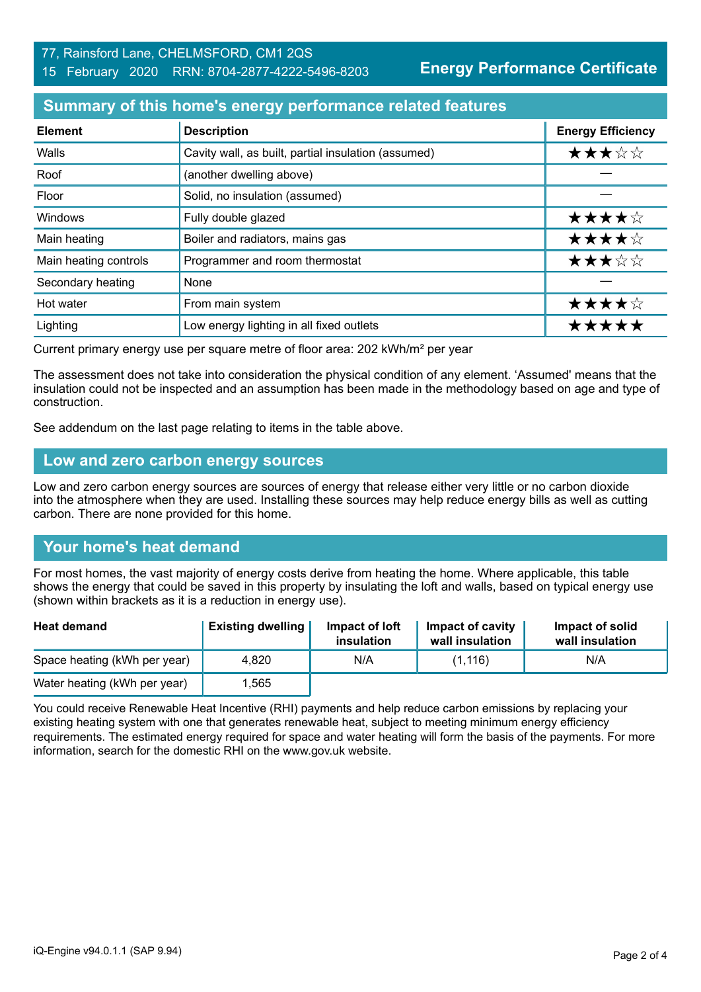#### 77, Rainsford Lane, CHELMSFORD, CM1 2QS 15 February 2020 RRN: 8704-2877-4222-5496-8203

**Energy Performance Certificate**

## **Summary of this home's energy performance related features**

| <b>Element</b>        | <b>Description</b>                                  | <b>Energy Efficiency</b> |
|-----------------------|-----------------------------------------------------|--------------------------|
| Walls                 | Cavity wall, as built, partial insulation (assumed) | ★★★☆☆                    |
| Roof                  | (another dwelling above)                            |                          |
| Floor                 | Solid, no insulation (assumed)                      |                          |
| Windows               | Fully double glazed                                 | ★★★★☆                    |
| Main heating          | Boiler and radiators, mains gas                     | ★★★★☆                    |
| Main heating controls | Programmer and room thermostat                      | ★★★☆☆                    |
| Secondary heating     | None                                                |                          |
| Hot water             | From main system                                    | ★★★★☆                    |
| Lighting              | Low energy lighting in all fixed outlets            | *****                    |

Current primary energy use per square metre of floor area: 202 kWh/m² per year

The assessment does not take into consideration the physical condition of any element. 'Assumed' means that the insulation could not be inspected and an assumption has been made in the methodology based on age and type of construction.

See addendum on the last page relating to items in the table above.

#### **Low and zero carbon energy sources**

Low and zero carbon energy sources are sources of energy that release either very little or no carbon dioxide into the atmosphere when they are used. Installing these sources may help reduce energy bills as well as cutting carbon. There are none provided for this home.

# **Your home's heat demand**

For most homes, the vast majority of energy costs derive from heating the home. Where applicable, this table shows the energy that could be saved in this property by insulating the loft and walls, based on typical energy use (shown within brackets as it is a reduction in energy use).

| <b>Heat demand</b>           | <b>Existing dwelling</b> | Impact of loft<br>insulation | Impact of cavity<br>wall insulation | Impact of solid<br>wall insulation |
|------------------------------|--------------------------|------------------------------|-------------------------------------|------------------------------------|
| Space heating (kWh per year) | 4.820                    | N/A                          | (1.116)                             | N/A                                |
| Water heating (kWh per year) | .565                     |                              |                                     |                                    |

You could receive Renewable Heat Incentive (RHI) payments and help reduce carbon emissions by replacing your existing heating system with one that generates renewable heat, subject to meeting minimum energy efficiency requirements. The estimated energy required for space and water heating will form the basis of the payments. For more information, search for the domestic RHI on the www.gov.uk website.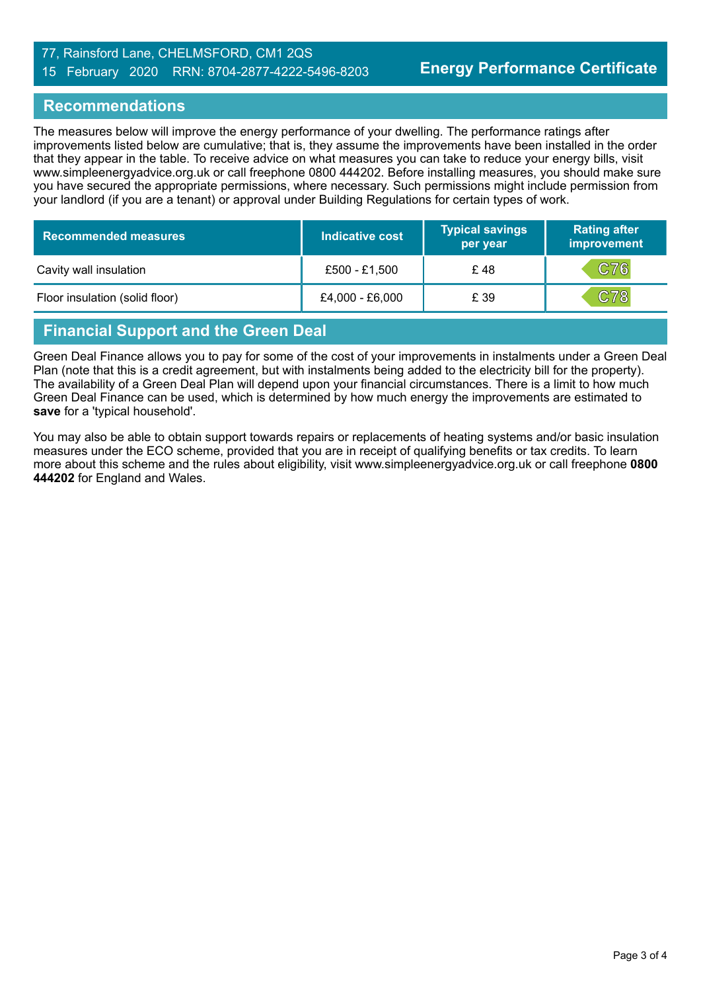#### 77, Rainsford Lane, CHELMSFORD, CM1 2QS 15 February 2020 RRN: 8704-2877-4222-5496-8203

## **Recommendations**

The measures below will improve the energy performance of your dwelling. The performance ratings after improvements listed below are cumulative; that is, they assume the improvements have been installed in the order that they appear in the table. To receive advice on what measures you can take to reduce your energy bills, visit www.simpleenergyadvice.org.uk or call freephone 0800 444202. Before installing measures, you should make sure you have secured the appropriate permissions, where necessary. Such permissions might include permission from your landlord (if you are a tenant) or approval under Building Regulations for certain types of work.

| <b>Recommended measures</b>    | Indicative cost | <b>Typical savings</b><br>per year | <b>Rating after</b><br>improvement |
|--------------------------------|-----------------|------------------------------------|------------------------------------|
| Cavity wall insulation         | £500 - £1,500   | £48                                | C76                                |
| Floor insulation (solid floor) | £4,000 - £6,000 | £ 39                               | C78                                |

# **Financial Support and the Green Deal**

Green Deal Finance allows you to pay for some of the cost of your improvements in instalments under a Green Deal Plan (note that this is a credit agreement, but with instalments being added to the electricity bill for the property). The availability of a Green Deal Plan will depend upon your financial circumstances. There is a limit to how much Green Deal Finance can be used, which is determined by how much energy the improvements are estimated to **save** for a 'typical household'.

You may also be able to obtain support towards repairs or replacements of heating systems and/or basic insulation measures under the ECO scheme, provided that you are in receipt of qualifying benefits or tax credits. To learn more about this scheme and the rules about eligibility, visit www.simpleenergyadvice.org.uk or call freephone **0800 444202** for England and Wales.